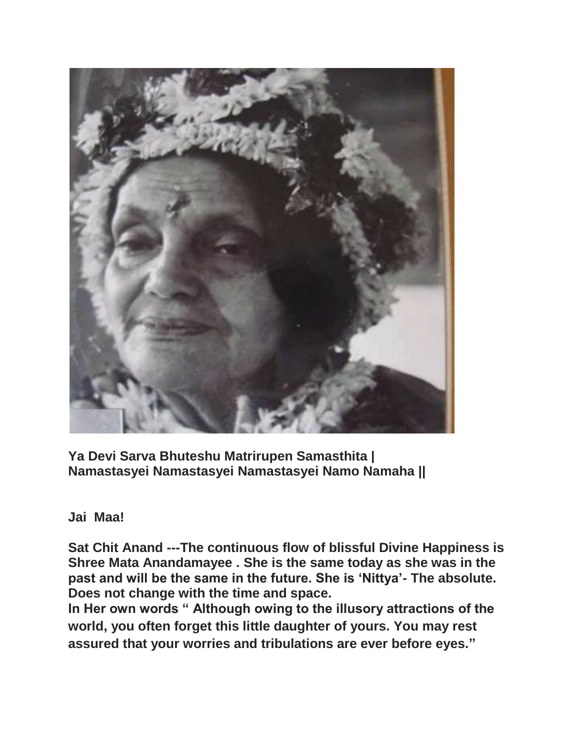

**Ya Devi Sarva Bhuteshu Matrirupen Samasthita | Namastasyei Namastasyei Namastasyei Namo Namaha ||**

## **Jai Maa!**

**Sat Chit Anand ---The continuous flow of blissful Divine Happiness is Shree Mata Anandamayee . She is the same today as she was in the past and will be the same in the future. She is 'Nittya'- The absolute. Does not change with the time and space.** 

**In Her own words " Although owing to the illusory attractions of the world, you often forget this little daughter of yours. You may rest assured that your worries and tribulations are ever before eyes."**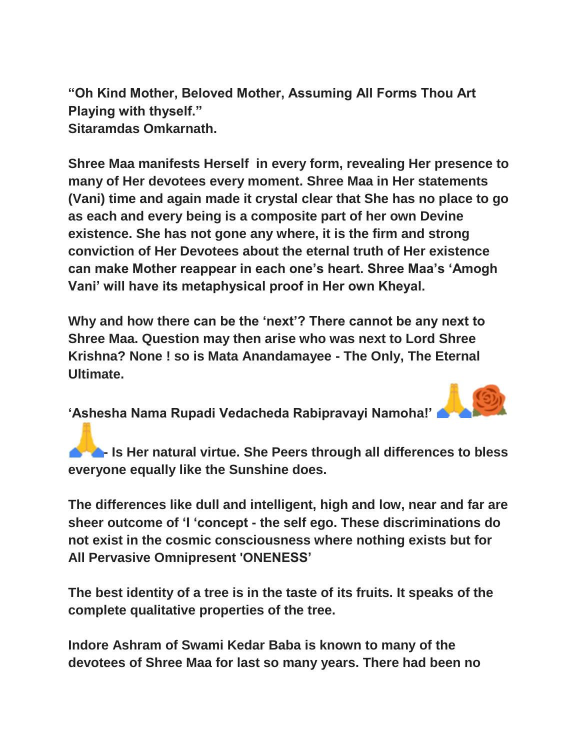**"Oh Kind Mother, Beloved Mother, Assuming All Forms Thou Art Playing with thyself." Sitaramdas Omkarnath.**

**Shree Maa manifests Herself in every form, revealing Her presence to many of Her devotees every moment. Shree Maa in Her statements (Vani) time and again made it crystal clear that She has no place to go as each and every being is a composite part of her own Devine existence. She has not gone any where, it is the firm and strong conviction of Her Devotees about the eternal truth of Her existence can make Mother reappear in each one's heart. Shree Maa's 'Amogh Vani' will have its metaphysical proof in Her own Kheyal.** 

**Why and how there can be the 'next'? There cannot be any next to Shree Maa. Question may then arise who was next to Lord Shree Krishna? None ! so is Mata Anandamayee - The Only, The Eternal Ultimate.**

**'Ashesha Nama Rupadi Vedacheda Rabipravayi Namoha!'**

**1. <b>A I Is Her natural virtue. She Peers through all differences to bless everyone equally like the Sunshine does.**

**The differences like dull and intelligent, high and low, near and far are sheer outcome of 'I 'concept - the self ego. These discriminations do not exist in the cosmic consciousness where nothing exists but for All Pervasive Omnipresent 'ONENESS'**

**The best identity of a tree is in the taste of its fruits. It speaks of the complete qualitative properties of the tree.**

**Indore Ashram of Swami Kedar Baba is known to many of the devotees of Shree Maa for last so many years. There had been no**